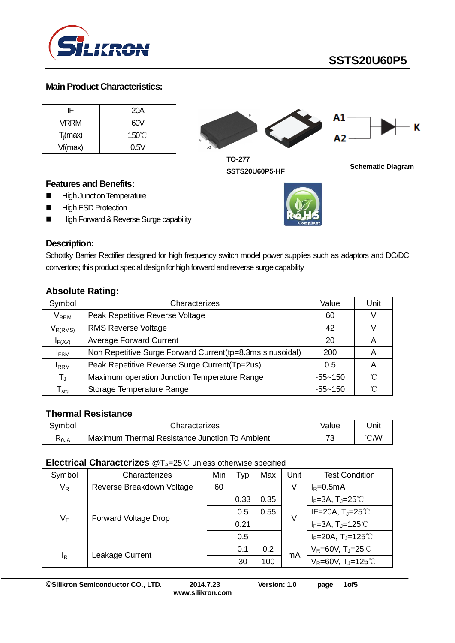

# **SSTS20U60P5**

## **Main Product Characteristics:**

| ΙF          | 20A             |
|-------------|-----------------|
| VRRM        | 60V             |
| $T_i$ (max) | $150^{\circ}$ C |
| Vf(max)     | 0.5V            |



**TO-277 SSTS20U60P5-HF Schematic Diagram**

## **Features and Benefits:**

- **High Junction Temperature**
- **High ESD Protection**
- High Forward & Reverse Surge capability



Schottky Barrier Rectifier designed for high frequency switch model power supplies such as adaptors and DC/DC convertors; this product special design for high forward and reverse surge capability

|  | <b>Absolute Rating:</b> |
|--|-------------------------|

| Symbol                           | Characterizes                                             | Value       | Unit |
|----------------------------------|-----------------------------------------------------------|-------------|------|
| $\mathsf{V}_\mathsf{RRM}$        | Peak Repetitive Reverse Voltage                           | 60          |      |
| $V_{R(RMS)}$                     | <b>RMS Reverse Voltage</b>                                | 42          |      |
| $I_{F(AV)}$                      | <b>Average Forward Current</b>                            | 20          | A    |
| <b>IFSM</b>                      | Non Repetitive Surge Forward Current(tp=8.3ms sinusoidal) | 200         | A    |
| <b>I</b> RRM                     | Peak Repetitive Reverse Surge Current(Tp=2us)             | 0.5         | Α    |
| $T_{\rm J}$                      | Maximum operation Junction Temperature Range              | $-55 - 150$ | ิ่∩° |
| $\mathsf{\Gamma}_{\mathsf{stg}}$ | Storage Temperature Range                                 | $-55 - 150$ | ิ่∩° |

## **Thermal Resistance**

| Symbol | Characterizes                                     | Value  | Jnit |
|--------|---------------------------------------------------|--------|------|
| ≺⊖JA   | Thermal Resistance Junction To Ambient<br>Maximum | ⇁<br>ີ | ℃W   |

#### **Electrical Characterizes** @T<sub>A</sub>=25℃ unless otherwise specified

| Symbol | Characterizes               |    | Typ  | Max  | Unit | <b>Test Condition</b>                            |
|--------|-----------------------------|----|------|------|------|--------------------------------------------------|
| $V_R$  | Reverse Breakdown Voltage   | 60 |      |      | V    | $I_R = 0.5mA$                                    |
| VF     | <b>Forward Voltage Drop</b> |    | 0.33 | 0.35 | V    | $I_F = 3A$ , $T_J = 25^{\circ}$                  |
|        |                             |    | 0.5  | 0.55 |      | IF=20A, $T_J$ =25°C                              |
|        |                             |    | 0.21 |      |      | $I_F=3A$ , T <sub>J</sub> =125°C                 |
|        |                             |    | 0.5  |      |      | $I_F = 20A$ , T <sub>J</sub> =125 <sup>°</sup> C |
| ΙŖ     | Leakage Current             |    | 0.1  | 0.2  | mA   | $V_R = 60V$ , T <sub>J</sub> =25 <sup>°</sup> C  |
|        |                             |    | 30   | 100  |      | $V_R = 60V$ , T <sub>J</sub> =125 <sup>°</sup> C |

**©Silikron Semiconductor CO., LTD. 2014.7.23 Version: 1.0 page 1of5**

**www.silikron.com**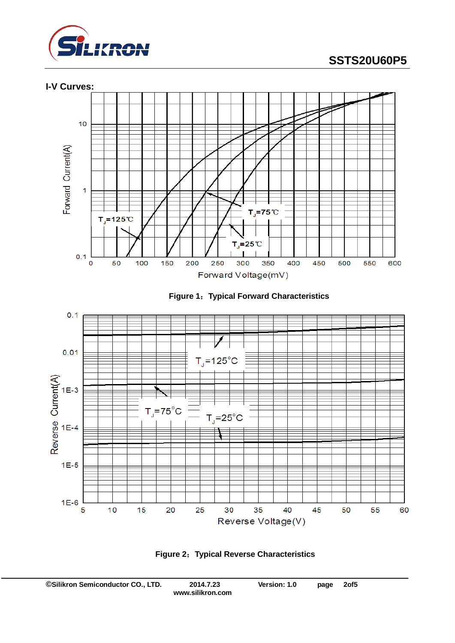









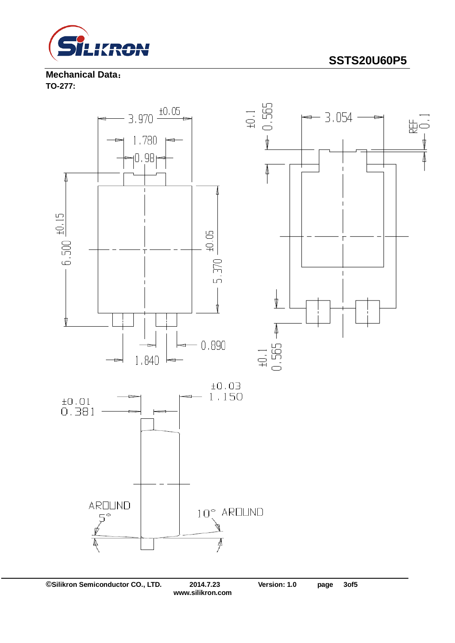

**SSTS20U60P5**

**Mechanical Data**: **TO-277:** 

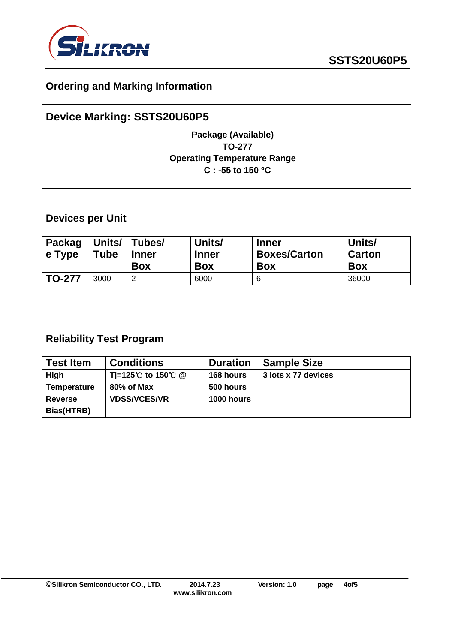

# **Ordering and Marking Information**

# **Device Marking: SSTS20U60P5 Package (Available) TO-277 Operating Temperature Range C : -55 to 150 ºC**

## **Devices per Unit**

| <b>Packag</b><br>e Type | <b>Tube</b> | Units/ Tubes/<br><b>Inner</b><br><b>Box</b> | Units/<br><b>Inner</b><br><b>Box</b> | <b>Inner</b><br><b>Boxes/Carton</b><br><b>Box</b> | Units/<br><b>Carton</b><br><b>Box</b> |
|-------------------------|-------------|---------------------------------------------|--------------------------------------|---------------------------------------------------|---------------------------------------|
| <b>TO-277</b>           | 3000        | റ<br>∠                                      | 6000                                 | 6                                                 | 36000                                 |

## **Reliability Test Program**

| <b>Test Item</b>   | <b>Conditions</b>                               | <b>Duration</b>   | <b>Sample Size</b>  |
|--------------------|-------------------------------------------------|-------------------|---------------------|
| High               | Ti=125 <sup>°</sup> C to 150 <sup>°</sup> C $@$ | 168 hours         | 3 lots x 77 devices |
| <b>Temperature</b> | 80% of Max                                      | 500 hours         |                     |
| <b>Reverse</b>     | <b>VDSS/VCES/VR</b>                             | <b>1000 hours</b> |                     |
| Bias(HTRB)         |                                                 |                   |                     |